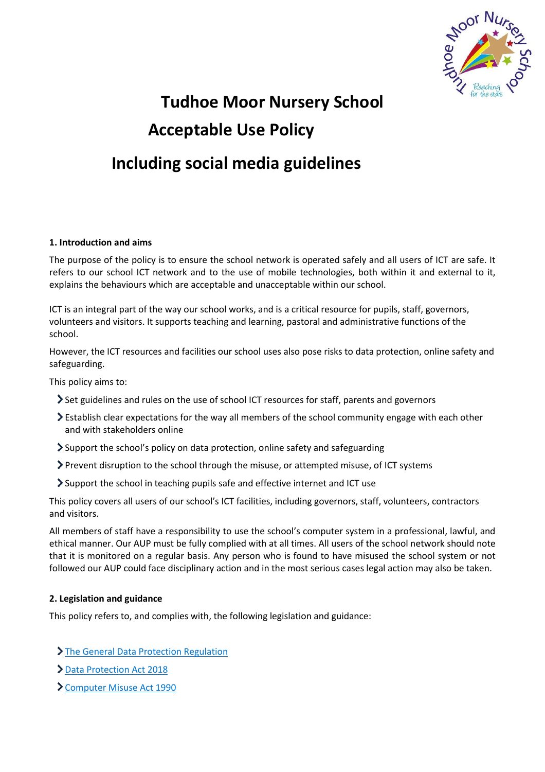

# **Tudhoe Moor Nursery School Acceptable Use Policy Including social media guidelines**

# **1. Introduction and aims**

The purpose of the policy is to ensure the school network is operated safely and all users of ICT are safe. It refers to our school ICT network and to the use of mobile technologies, both within it and external to it, explains the behaviours which are acceptable and unacceptable within our school.

ICT is an integral part of the way our school works, and is a critical resource for pupils, staff, governors, volunteers and visitors. It supports teaching and learning, pastoral and administrative functions of the school.

However, the ICT resources and facilities our school uses also pose risks to data protection, online safety and safeguarding.

This policy aims to:

- Set guidelines and rules on the use of school ICT resources for staff, parents and governors
- Establish clear expectations for the way all members of the school community engage with each other and with stakeholders online
- Support the school's policy on data protection, online safety and safeguarding
- Prevent disruption to the school through the misuse, or attempted misuse, of ICT systems
- Support the school in teaching pupils safe and effective internet and ICT use

This policy covers all users of our school's ICT facilities, including governors, staff, volunteers, contractors and visitors.

All members of staff have a responsibility to use the school's computer system in a professional, lawful, and ethical manner. Our AUP must be fully complied with at all times. All users of the school network should note that it is monitored on a regular basis. Any person who is found to have misused the school system or not followed our AUP could face disciplinary action and in the most serious cases legal action may also be taken.

# **2. Legislation and guidance**

This policy refers to, and complies with, the following legislation and guidance:

- > [The General Data Protection Regulation](https://eur-lex.europa.eu/legal-content/EN/TXT/HTML/?uri=CELEX:32016R0679)
- [Data Protection Act 2018](http://www.legislation.gov.uk/ukpga/2018/12/contents/enacted)
- [Computer Misuse Act 1990](https://www.legislation.gov.uk/ukpga/1990/18/contents)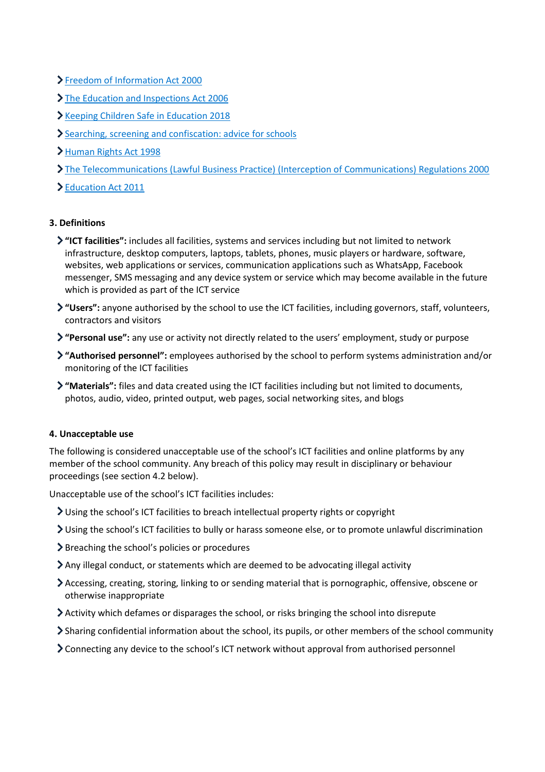- [Freedom of Information Act 2000](https://www.legislation.gov.uk/ukpga/2000/36/contents)
- > [The Education and Inspections Act 2006](https://www.legislation.gov.uk/ukpga/2006/40/part/7/chapter/1)
- [Keeping Children Safe in Education 2018](https://www.gov.uk/government/publications/keeping-children-safe-in-education--2)
- [Searching, screening and confiscation: advice for schools](https://www.gov.uk/government/publications/searching-screening-and-confiscation)
- [Human Rights Act 1998](https://www.legislation.gov.uk/ukpga/1998/42/contents)
- [The Telecommunications \(Lawful Business Practice\) \(Interception of Communications\) Regulations 2000](https://www.legislation.gov.uk/uksi/2000/2699/regulation/3/made)
- [Education Act 2011](http://www.legislation.gov.uk/ukpga/2011/21/section/2/enacted)

# **3. Definitions**

- **"ICT facilities":** includes all facilities, systems and services including but not limited to network infrastructure, desktop computers, laptops, tablets, phones, music players or hardware, software, websites, web applications or services, communication applications such as WhatsApp, Facebook messenger, SMS messaging and any device system or service which may become available in the future which is provided as part of the ICT service
- **"Users":** anyone authorised by the school to use the ICT facilities, including governors, staff, volunteers, contractors and visitors
- **"Personal use":** any use or activity not directly related to the users' employment, study or purpose
- **"Authorised personnel":** employees authorised by the school to perform systems administration and/or monitoring of the ICT facilities
- **"Materials":** files and data created using the ICT facilities including but not limited to documents, photos, audio, video, printed output, web pages, social networking sites, and blogs

# **4. Unacceptable use**

The following is considered unacceptable use of the school's ICT facilities and online platforms by any member of the school community. Any breach of this policy may result in disciplinary or behaviour proceedings (see section 4.2 below).

Unacceptable use of the school's ICT facilities includes:

- Using the school's ICT facilities to breach intellectual property rights or copyright
- Using the school's ICT facilities to bully or harass someone else, or to promote unlawful discrimination
- If  $\sum$  Breaching the school's policies or procedures
- Any illegal conduct, or statements which are deemed to be advocating illegal activity
- Accessing, creating, storing, linking to or sending material that is pornographic, offensive, obscene or otherwise inappropriate
- Activity which defames or disparages the school, or risks bringing the school into disrepute
- Sharing confidential information about the school, its pupils, or other members of the school community
- Connecting any device to the school's ICT network without approval from authorised personnel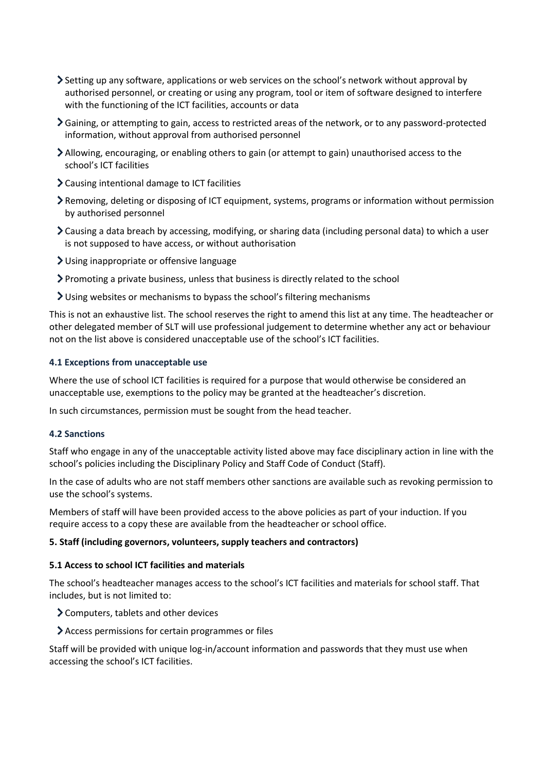- Setting up any software, applications or web services on the school's network without approval by authorised personnel, or creating or using any program, tool or item of software designed to interfere with the functioning of the ICT facilities, accounts or data
- Gaining, or attempting to gain, access to restricted areas of the network, or to any password-protected information, without approval from authorised personnel
- Allowing, encouraging, or enabling others to gain (or attempt to gain) unauthorised access to the school's ICT facilities
- Causing intentional damage to ICT facilities
- Removing, deleting or disposing of ICT equipment, systems, programs or information without permission by authorised personnel
- Causing a data breach by accessing, modifying, or sharing data (including personal data) to which a user is not supposed to have access, or without authorisation
- Using inappropriate or offensive language
- Promoting a private business, unless that business is directly related to the school
- Using websites or mechanisms to bypass the school's filtering mechanisms

This is not an exhaustive list. The school reserves the right to amend this list at any time. The headteacher or other delegated member of SLT will use professional judgement to determine whether any act or behaviour not on the list above is considered unacceptable use of the school's ICT facilities.

# **4.1 Exceptions from unacceptable use**

Where the use of school ICT facilities is required for a purpose that would otherwise be considered an unacceptable use, exemptions to the policy may be granted at the headteacher's discretion.

In such circumstances, permission must be sought from the head teacher.

# **4.2 Sanctions**

Staff who engage in any of the unacceptable activity listed above may face disciplinary action in line with the school's policies including the Disciplinary Policy and Staff Code of Conduct (Staff).

In the case of adults who are not staff members other sanctions are available such as revoking permission to use the school's systems.

Members of staff will have been provided access to the above policies as part of your induction. If you require access to a copy these are available from the headteacher or school office.

# **5. Staff (including governors, volunteers, supply teachers and contractors)**

# **5.1 Access to school ICT facilities and materials**

The school's headteacher manages access to the school's ICT facilities and materials for school staff. That includes, but is not limited to:

- Computers, tablets and other devices
- Access permissions for certain programmes or files

Staff will be provided with unique log-in/account information and passwords that they must use when accessing the school's ICT facilities.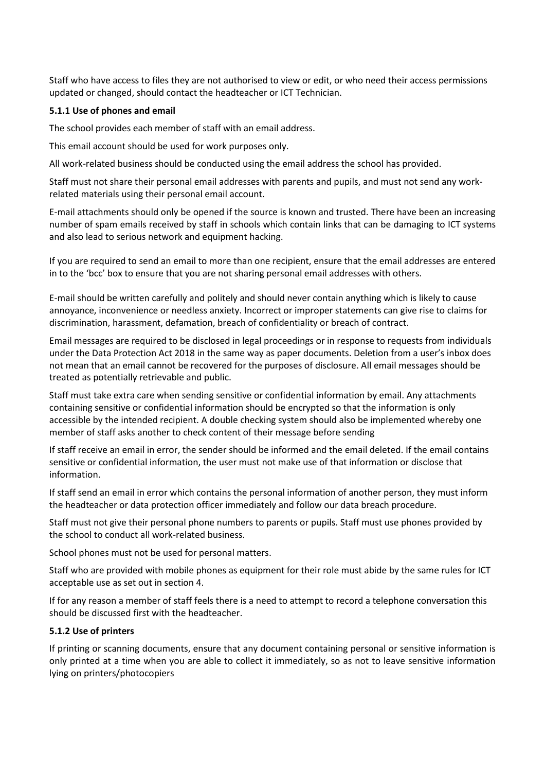Staff who have access to files they are not authorised to view or edit, or who need their access permissions updated or changed, should contact the headteacher or ICT Technician.

# **5.1.1 Use of phones and email**

The school provides each member of staff with an email address.

This email account should be used for work purposes only.

All work-related business should be conducted using the email address the school has provided.

Staff must not share their personal email addresses with parents and pupils, and must not send any workrelated materials using their personal email account.

E-mail attachments should only be opened if the source is known and trusted. There have been an increasing number of spam emails received by staff in schools which contain links that can be damaging to ICT systems and also lead to serious network and equipment hacking.

If you are required to send an email to more than one recipient, ensure that the email addresses are entered in to the 'bcc' box to ensure that you are not sharing personal email addresses with others.

E-mail should be written carefully and politely and should never contain anything which is likely to cause annoyance, inconvenience or needless anxiety. Incorrect or improper statements can give rise to claims for discrimination, harassment, defamation, breach of confidentiality or breach of contract.

Email messages are required to be disclosed in legal proceedings or in response to requests from individuals under the Data Protection Act 2018 in the same way as paper documents. Deletion from a user's inbox does not mean that an email cannot be recovered for the purposes of disclosure. All email messages should be treated as potentially retrievable and public.

Staff must take extra care when sending sensitive or confidential information by email. Any attachments containing sensitive or confidential information should be encrypted so that the information is only accessible by the intended recipient. A double checking system should also be implemented whereby one member of staff asks another to check content of their message before sending

If staff receive an email in error, the sender should be informed and the email deleted. If the email contains sensitive or confidential information, the user must not make use of that information or disclose that information.

If staff send an email in error which contains the personal information of another person, they must inform the headteacher or data protection officer immediately and follow our data breach procedure.

Staff must not give their personal phone numbers to parents or pupils. Staff must use phones provided by the school to conduct all work-related business.

School phones must not be used for personal matters.

Staff who are provided with mobile phones as equipment for their role must abide by the same rules for ICT acceptable use as set out in section 4.

If for any reason a member of staff feels there is a need to attempt to record a telephone conversation this should be discussed first with the headteacher.

# **5.1.2 Use of printers**

If printing or scanning documents, ensure that any document containing personal or sensitive information is only printed at a time when you are able to collect it immediately, so as not to leave sensitive information lying on printers/photocopiers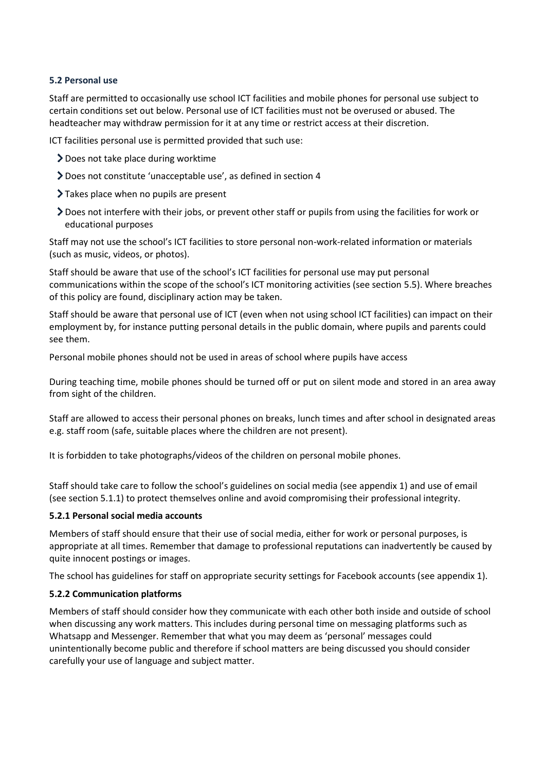# **5.2 Personal use**

Staff are permitted to occasionally use school ICT facilities and mobile phones for personal use subject to certain conditions set out below. Personal use of ICT facilities must not be overused or abused. The headteacher may withdraw permission for it at any time or restrict access at their discretion.

ICT facilities personal use is permitted provided that such use:

- Does not take place during worktime
- Does not constitute 'unacceptable use', as defined in section 4
- Takes place when no pupils are present
- Does not interfere with their jobs, or prevent other staff or pupils from using the facilities for work or educational purposes

Staff may not use the school's ICT facilities to store personal non-work-related information or materials (such as music, videos, or photos).

Staff should be aware that use of the school's ICT facilities for personal use may put personal communications within the scope of the school's ICT monitoring activities (see section 5.5). Where breaches of this policy are found, disciplinary action may be taken.

Staff should be aware that personal use of ICT (even when not using school ICT facilities) can impact on their employment by, for instance putting personal details in the public domain, where pupils and parents could see them.

Personal mobile phones should not be used in areas of school where pupils have access

During teaching time, mobile phones should be turned off or put on silent mode and stored in an area away from sight of the children.

Staff are allowed to access their personal phones on breaks, lunch times and after school in designated areas e.g. staff room (safe, suitable places where the children are not present).

It is forbidden to take photographs/videos of the children on personal mobile phones.

Staff should take care to follow the school's guidelines on social media (see appendix 1) and use of email (see section 5.1.1) to protect themselves online and avoid compromising their professional integrity.

# **5.2.1 Personal social media accounts**

Members of staff should ensure that their use of social media, either for work or personal purposes, is appropriate at all times. Remember that damage to professional reputations can inadvertently be caused by quite innocent postings or images.

The school has guidelines for staff on appropriate security settings for Facebook accounts (see appendix 1).

# **5.2.2 Communication platforms**

Members of staff should consider how they communicate with each other both inside and outside of school when discussing any work matters. This includes during personal time on messaging platforms such as Whatsapp and Messenger. Remember that what you may deem as 'personal' messages could unintentionally become public and therefore if school matters are being discussed you should consider carefully your use of language and subject matter.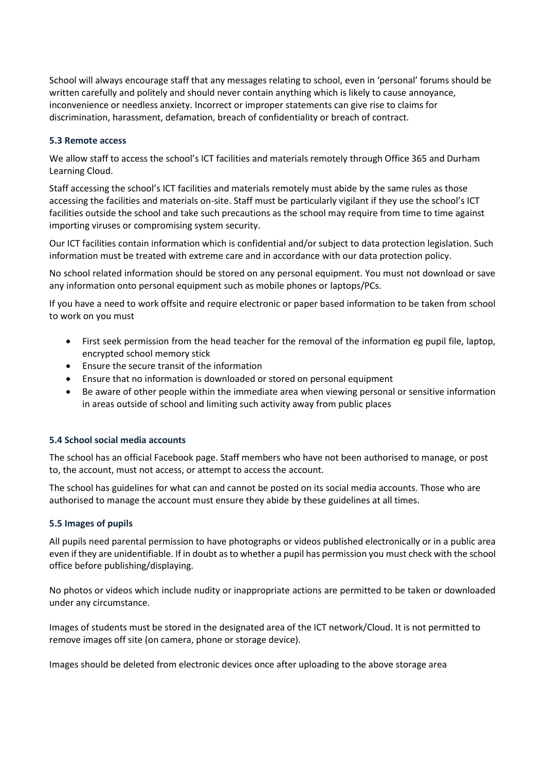School will always encourage staff that any messages relating to school, even in 'personal' forums should be written carefully and politely and should never contain anything which is likely to cause annoyance, inconvenience or needless anxiety. Incorrect or improper statements can give rise to claims for discrimination, harassment, defamation, breach of confidentiality or breach of contract.

# **5.3 Remote access**

We allow staff to access the school's ICT facilities and materials remotely through Office 365 and Durham Learning Cloud.

Staff accessing the school's ICT facilities and materials remotely must abide by the same rules as those accessing the facilities and materials on-site. Staff must be particularly vigilant if they use the school's ICT facilities outside the school and take such precautions as the school may require from time to time against importing viruses or compromising system security.

Our ICT facilities contain information which is confidential and/or subject to data protection legislation. Such information must be treated with extreme care and in accordance with our data protection policy.

No school related information should be stored on any personal equipment. You must not download or save any information onto personal equipment such as mobile phones or laptops/PCs.

If you have a need to work offsite and require electronic or paper based information to be taken from school to work on you must

- First seek permission from the head teacher for the removal of the information eg pupil file, laptop, encrypted school memory stick
- Ensure the secure transit of the information
- Ensure that no information is downloaded or stored on personal equipment
- Be aware of other people within the immediate area when viewing personal or sensitive information in areas outside of school and limiting such activity away from public places

# **5.4 School social media accounts**

The school has an official Facebook page. Staff members who have not been authorised to manage, or post to, the account, must not access, or attempt to access the account.

The school has guidelines for what can and cannot be posted on its social media accounts. Those who are authorised to manage the account must ensure they abide by these guidelines at all times.

# **5.5 Images of pupils**

All pupils need parental permission to have photographs or videos published electronically or in a public area even if they are unidentifiable. If in doubt as to whether a pupil has permission you must check with the school office before publishing/displaying.

No photos or videos which include nudity or inappropriate actions are permitted to be taken or downloaded under any circumstance.

Images of students must be stored in the designated area of the ICT network/Cloud. It is not permitted to remove images off site (on camera, phone or storage device).

Images should be deleted from electronic devices once after uploading to the above storage area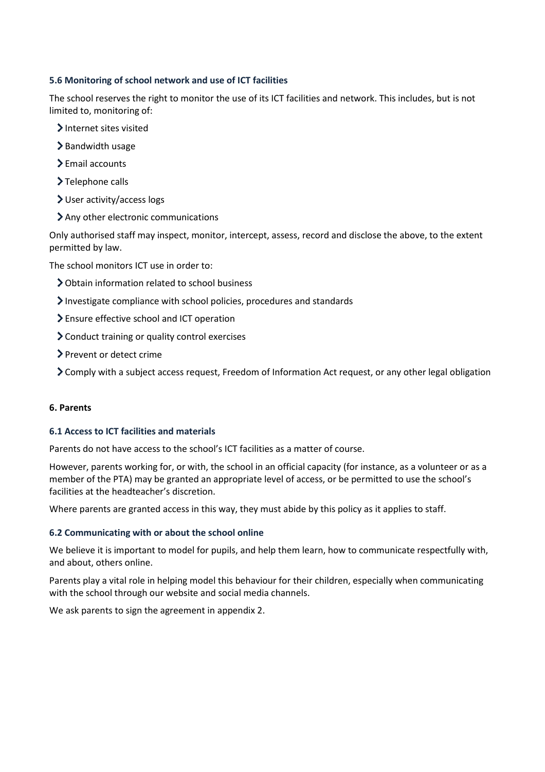# **5.6 Monitoring of school network and use of ICT facilities**

The school reserves the right to monitor the use of its ICT facilities and network. This includes, but is not limited to, monitoring of:

- > Internet sites visited
- >Bandwidth usage
- > Email accounts
- >Telephone calls
- User activity/access logs
- Any other electronic communications

Only authorised staff may inspect, monitor, intercept, assess, record and disclose the above, to the extent permitted by law.

The school monitors ICT use in order to:

- Obtain information related to school business
- Investigate compliance with school policies, procedures and standards
- Ensure effective school and ICT operation
- Conduct training or quality control exercises
- > Prevent or detect crime
- Comply with a subject access request, Freedom of Information Act request, or any other legal obligation

# **6. Parents**

# **6.1 Access to ICT facilities and materials**

Parents do not have access to the school's ICT facilities as a matter of course.

However, parents working for, or with, the school in an official capacity (for instance, as a volunteer or as a member of the PTA) may be granted an appropriate level of access, or be permitted to use the school's facilities at the headteacher's discretion.

Where parents are granted access in this way, they must abide by this policy as it applies to staff.

# **6.2 Communicating with or about the school online**

We believe it is important to model for pupils, and help them learn, how to communicate respectfully with, and about, others online.

Parents play a vital role in helping model this behaviour for their children, especially when communicating with the school through our website and social media channels.

We ask parents to sign the agreement in appendix 2.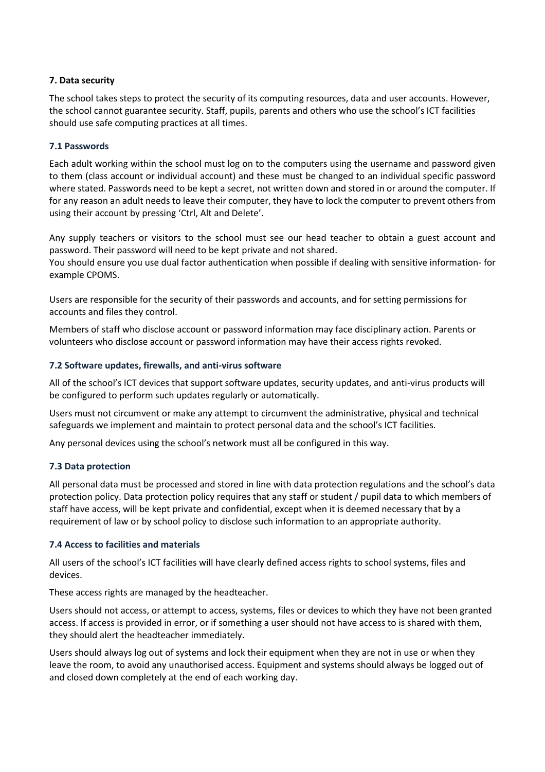# **7. Data security**

The school takes steps to protect the security of its computing resources, data and user accounts. However, the school cannot guarantee security. Staff, pupils, parents and others who use the school's ICT facilities should use safe computing practices at all times.

# **7.1 Passwords**

Each adult working within the school must log on to the computers using the username and password given to them (class account or individual account) and these must be changed to an individual specific password where stated. Passwords need to be kept a secret, not written down and stored in or around the computer. If for any reason an adult needs to leave their computer, they have to lock the computer to prevent others from using their account by pressing 'Ctrl, Alt and Delete'.

Any supply teachers or visitors to the school must see our head teacher to obtain a guest account and password. Their password will need to be kept private and not shared.

You should ensure you use dual factor authentication when possible if dealing with sensitive information- for example CPOMS.

Users are responsible for the security of their passwords and accounts, and for setting permissions for accounts and files they control.

Members of staff who disclose account or password information may face disciplinary action. Parents or volunteers who disclose account or password information may have their access rights revoked.

# **7.2 Software updates, firewalls, and anti-virus software**

All of the school's ICT devices that support software updates, security updates, and anti-virus products will be configured to perform such updates regularly or automatically.

Users must not circumvent or make any attempt to circumvent the administrative, physical and technical safeguards we implement and maintain to protect personal data and the school's ICT facilities.

Any personal devices using the school's network must all be configured in this way.

# **7.3 Data protection**

All personal data must be processed and stored in line with data protection regulations and the school's data protection policy. Data protection policy requires that any staff or student / pupil data to which members of staff have access, will be kept private and confidential, except when it is deemed necessary that by a requirement of law or by school policy to disclose such information to an appropriate authority.

# **7.4 Access to facilities and materials**

All users of the school's ICT facilities will have clearly defined access rights to school systems, files and devices.

These access rights are managed by the headteacher.

Users should not access, or attempt to access, systems, files or devices to which they have not been granted access. If access is provided in error, or if something a user should not have access to is shared with them, they should alert the headteacher immediately.

Users should always log out of systems and lock their equipment when they are not in use or when they leave the room, to avoid any unauthorised access. Equipment and systems should always be logged out of and closed down completely at the end of each working day.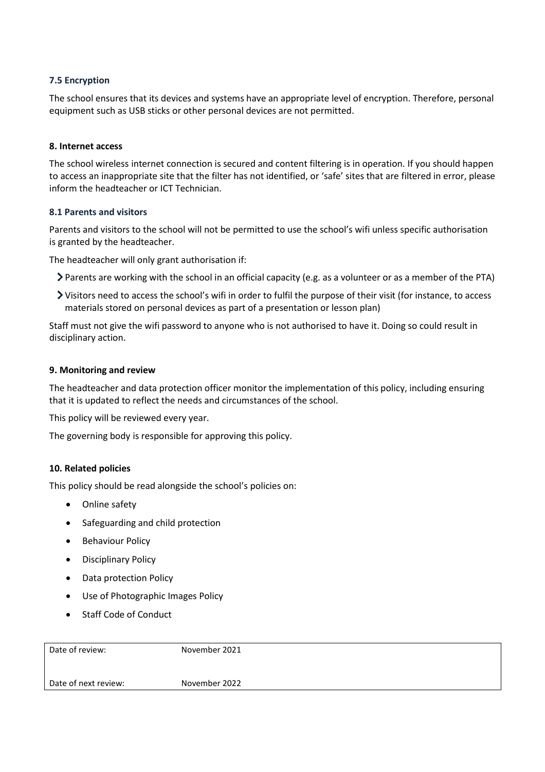# **7.5 Encryption**

The school ensures that its devices and systems have an appropriate level of encryption. Therefore, personal equipment such as USB sticks or other personal devices are not permitted.

# **8. Internet access**

The school wireless internet connection is secured and content filtering is in operation. If you should happen to access an inappropriate site that the filter has not identified, or 'safe' sites that are filtered in error, please inform the headteacher or ICT Technician.

# **8.1 Parents and visitors**

Parents and visitors to the school will not be permitted to use the school's wifi unless specific authorisation is granted by the headteacher.

The headteacher will only grant authorisation if:

- Parents are working with the school in an official capacity (e.g. as a volunteer or as a member of the PTA)
- Visitors need to access the school's wifi in order to fulfil the purpose of their visit (for instance, to access materials stored on personal devices as part of a presentation or lesson plan)

Staff must not give the wifi password to anyone who is not authorised to have it. Doing so could result in disciplinary action.

# **9. Monitoring and review**

The headteacher and data protection officer monitor the implementation of this policy, including ensuring that it is updated to reflect the needs and circumstances of the school.

This policy will be reviewed every year.

The governing body is responsible for approving this policy.

# **10. Related policies**

This policy should be read alongside the school's policies on:

- Online safety
- Safeguarding and child protection
- **•** Behaviour Policy
- Disciplinary Policy
- Data protection Policy
- Use of Photographic Images Policy
- Staff Code of Conduct

| Date of review:      | November 2021 |
|----------------------|---------------|
| Date of next review: | November 2022 |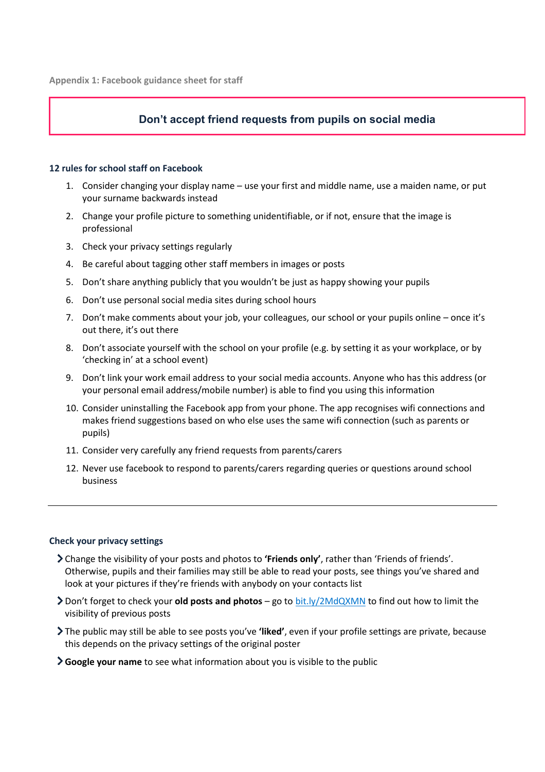# **Don't accept friend requests from pupils on social media**

# **12 rules for school staff on Facebook**

- 1. Consider changing your display name use your first and middle name, use a maiden name, or put your surname backwards instead
- 2. Change your profile picture to something unidentifiable, or if not, ensure that the image is professional
- 3. Check your privacy settings regularly
- 4. Be careful about tagging other staff members in images or posts
- 5. Don't share anything publicly that you wouldn't be just as happy showing your pupils
- 6. Don't use personal social media sites during school hours
- 7. Don't make comments about your job, your colleagues, our school or your pupils online once it's out there, it's out there
- 8. Don't associate yourself with the school on your profile (e.g. by setting it as your workplace, or by 'checking in' at a school event)
- 9. Don't link your work email address to your social media accounts. Anyone who has this address (or your personal email address/mobile number) is able to find you using this information
- 10. Consider uninstalling the Facebook app from your phone. The app recognises wifi connections and makes friend suggestions based on who else uses the same wifi connection (such as parents or pupils)
- 11. Consider very carefully any friend requests from parents/carers
- 12. Never use facebook to respond to parents/carers regarding queries or questions around school business

#### **Check your privacy settings**

- Change the visibility of your posts and photos to **'Friends only'**, rather than 'Friends of friends'. Otherwise, pupils and their families may still be able to read your posts, see things you've shared and look at your pictures if they're friends with anybody on your contacts list
- Don't forget to check your **old posts and photos** go to [bit.ly/2MdQXMN](https://www.facebook.com/help/iphone-app/236898969688346?helpref=uf_permalink) to find out how to limit the visibility of previous posts
- The public may still be able to see posts you've **'liked'**, even if your profile settings are private, because this depends on the privacy settings of the original poster
- **Google your name** to see what information about you is visible to the public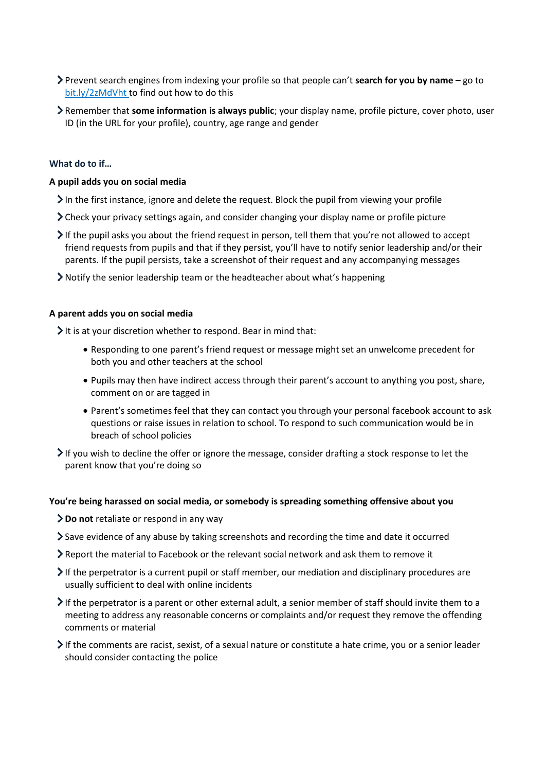- Prevent search engines from indexing your profile so that people can't **search for you by name** go to [bit.ly/2zMdVht t](https://www.facebook.com/help/124518907626945?helpref=faq_content)o find out how to do this
- Remember that **some information is always public**; your display name, profile picture, cover photo, user ID (in the URL for your profile), country, age range and gender

# **What do to if…**

# **A pupil adds you on social media**

- In the first instance, ignore and delete the request. Block the pupil from viewing your profile
- Check your privacy settings again, and consider changing your display name or profile picture
- If the pupil asks you about the friend request in person, tell them that you're not allowed to accept friend requests from pupils and that if they persist, you'll have to notify senior leadership and/or their parents. If the pupil persists, take a screenshot of their request and any accompanying messages
- Notify the senior leadership team or the headteacher about what's happening

#### **A parent adds you on social media**

It is at your discretion whether to respond. Bear in mind that:

- Responding to one parent's friend request or message might set an unwelcome precedent for both you and other teachers at the school
- Pupils may then have indirect access through their parent's account to anything you post, share, comment on or are tagged in
- Parent's sometimes feel that they can contact you through your personal facebook account to ask questions or raise issues in relation to school. To respond to such communication would be in breach of school policies
- If you wish to decline the offer or ignore the message, consider drafting a stock response to let the parent know that you're doing so

#### **You're being harassed on social media, or somebody is spreading something offensive about you**

- **Do not** retaliate or respond in any way
- Save evidence of any abuse by taking screenshots and recording the time and date it occurred
- Report the material to Facebook or the relevant social network and ask them to remove it
- If the perpetrator is a current pupil or staff member, our mediation and disciplinary procedures are usually sufficient to deal with online incidents
- $\triangleright$  If the perpetrator is a parent or other external adult, a senior member of staff should invite them to a meeting to address any reasonable concerns or complaints and/or request they remove the offending comments or material
- If the comments are racist, sexist, of a sexual nature or constitute a hate crime, you or a senior leader should consider contacting the police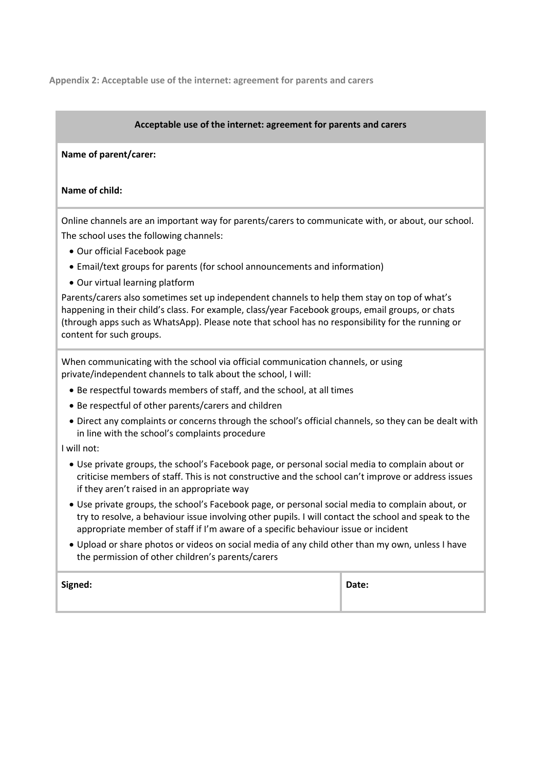**Appendix 2: Acceptable use of the internet: agreement for parents and carers**

# **Acceptable use of the internet: agreement for parents and carers**

# **Name of parent/carer:**

#### **Name of child:**

Online channels are an important way for parents/carers to communicate with, or about, our school. The school uses the following channels:

- Our official Facebook page
- Email/text groups for parents (for school announcements and information)
- Our virtual learning platform

Parents/carers also sometimes set up independent channels to help them stay on top of what's happening in their child's class. For example, class/year Facebook groups, email groups, or chats (through apps such as WhatsApp). Please note that school has no responsibility for the running or content for such groups.

When communicating with the school via official communication channels, or using private/independent channels to talk about the school, I will:

- Be respectful towards members of staff, and the school, at all times
- Be respectful of other parents/carers and children
- Direct any complaints or concerns through the school's official channels, so they can be dealt with in line with the school's complaints procedure

I will not:

- Use private groups, the school's Facebook page, or personal social media to complain about or criticise members of staff. This is not constructive and the school can't improve or address issues if they aren't raised in an appropriate way
- Use private groups, the school's Facebook page, or personal social media to complain about, or try to resolve, a behaviour issue involving other pupils. I will contact the school and speak to the appropriate member of staff if I'm aware of a specific behaviour issue or incident
- Upload or share photos or videos on social media of any child other than my own, unless I have the permission of other children's parents/carers

| Signed: | Date: |
|---------|-------|
|         |       |